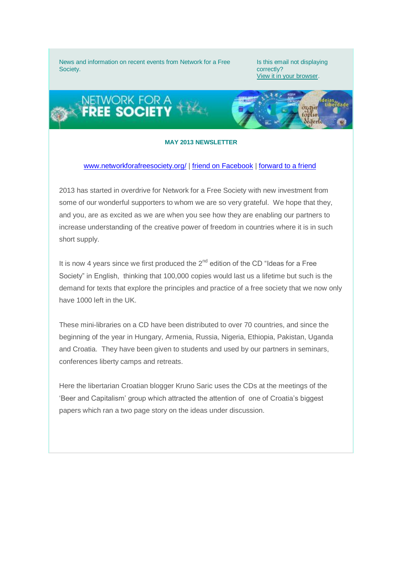News and information on recent events from Network for a Free Society.

Is this email not displaying correctly? [View it in your browser.](http://us6.campaign-archive1.com/?u=a9097c21dbf4b971a3ab947cf&id=b40cf7301e&e=0aec893c4e)



## **MAY 2013 NEWSLETTER**

## [www.networkforafreesociety.org/](http://networkforafreesociety.us6.list-manage.com/track/click?u=a9097c21dbf4b971a3ab947cf&id=b77c14ef5e&e=0aec893c4e) | friend on Facebook | [forward to a friend](http://networkforafreesociety.us6.list-manage.com/track/click?u=a9097c21dbf4b971a3ab947cf&id=a1abb96e53&e=0aec893c4e)

2013 has started in overdrive for Network for a Free Society with new investment from some of our wonderful supporters to whom we are so very grateful. We hope that they, and you, are as excited as we are when you see how they are enabling our partners to increase understanding of the creative power of freedom in countries where it is in such short supply.

It is now 4 years since we first produced the  $2^{nd}$  edition of the CD "Ideas for a Free Society" in English, thinking that 100,000 copies would last us a lifetime but such is the demand for texts that explore the principles and practice of a free society that we now only have 1000 left in the UK.

These mini-libraries on a CD have been distributed to over 70 countries, and since the beginning of the year in Hungary, Armenia, Russia, Nigeria, Ethiopia, Pakistan, Uganda and Croatia. They have been given to students and used by our partners in seminars, conferences liberty camps and retreats.

Here the libertarian Croatian blogger Kruno Saric uses the CDs at the meetings of the 'Beer and Capitalism' group which attracted the attention of one of Croatia's biggest papers which ran a two page story on the ideas under discussion.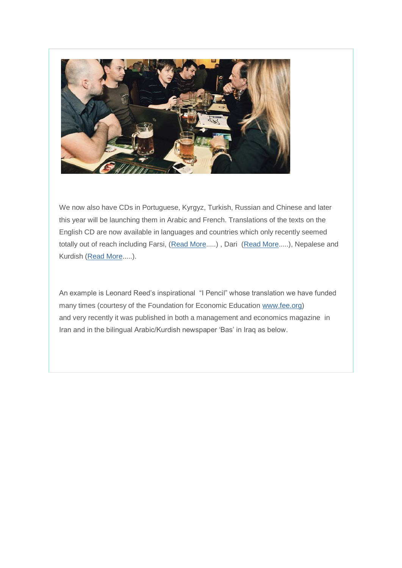

We now also have CDs in Portuguese, Kyrgyz, Turkish, Russian and Chinese and later this year will be launching them in Arabic and French. Translations of the texts on the English CD are now available in languages and countries which only recently seemed totally out of reach including Farsi, [\(Read](http://networkforafreesociety.us6.list-manage.com/track/click?u=a9097c21dbf4b971a3ab947cf&id=8655a92146&e=0aec893c4e) [More.](http://networkforafreesociety.us6.list-manage.com/track/click?u=a9097c21dbf4b971a3ab947cf&id=8655a92146&e=0aec893c4e)....), Dari [\(Read More.](http://networkforafreesociety.us6.list-manage.com/track/click?u=a9097c21dbf4b971a3ab947cf&id=153061938f&e=0aec893c4e)....), Nepalese and Kurdish [\(Read More.](http://networkforafreesociety.us6.list-manage1.com/track/click?u=a9097c21dbf4b971a3ab947cf&id=bff9d099e0&e=0aec893c4e)....).

An example is Leonard Reed's inspirational "I Pencil" whose translation we have funded many times (courtesy of the Foundation for Economic Education [www.fee.org\)](http://networkforafreesociety.us6.list-manage1.com/track/click?u=a9097c21dbf4b971a3ab947cf&id=4217945592&e=0aec893c4e) and very recently it was published in both a management and economics magazine in Iran and in the bilingual Arabic/Kurdish newspaper 'Bas' in Iraq as below.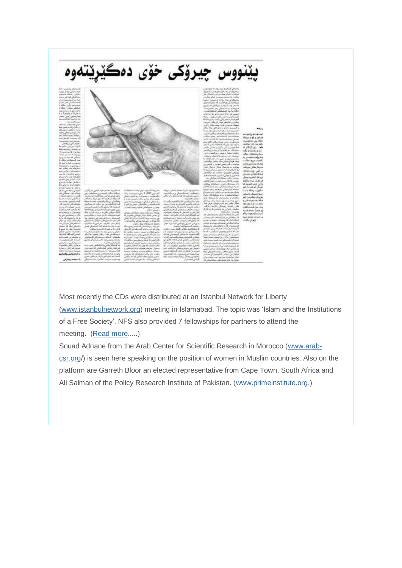

Most recently the CDs were distributed at an Istanbul Network for Liberty [\(www.istanbulnetwork.org\)](http://networkforafreesociety.us6.list-manage.com/track/click?u=a9097c21dbf4b971a3ab947cf&id=0610b4378d&e=0aec893c4e) meeting in Islamabad. The topic was 'Islam and the Institutions of a Free Society'. NFS also provided 7 fellowships for partners to attend the meeting. [\(Read](http://networkforafreesociety.us6.list-manage2.com/track/click?u=a9097c21dbf4b971a3ab947cf&id=bd99d142d4&e=0aec893c4e) more.....)

Souad Adnane from the Arab Center for Scientific Research in Morocco [\(www.arab](http://networkforafreesociety.us6.list-manage.com/track/click?u=a9097c21dbf4b971a3ab947cf&id=d97f433d2e&e=0aec893c4e)[csr.org/](http://networkforafreesociety.us6.list-manage.com/track/click?u=a9097c21dbf4b971a3ab947cf&id=d97f433d2e&e=0aec893c4e)) is seen here speaking on the position of women in Muslim countries. Also on the platform are Garreth Bloor an elected representative from Cape Town, South Africa and Ali Salman of the Policy Research Institute of Pakistan. [\(www.primeinstitute.org.](http://networkforafreesociety.us6.list-manage1.com/track/click?u=a9097c21dbf4b971a3ab947cf&id=a5e0911120&e=0aec893c4e))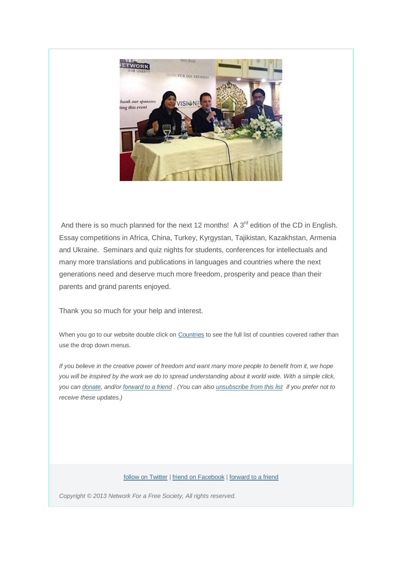

And there is so much planned for the next 12 months! A  $3<sup>rd</sup>$  edition of the CD in English. Essay competitions in Africa, China, Turkey, Kyrgystan, Tajikistan, Kazakhstan, Armenia and Ukraine. Seminars and quiz nights for students, conferences for intellectuals and many more translations and publications in languages and countries where the next generations need and deserve much more freedom, prosperity and peace than their parents and grand parents enjoyed.

Thank you so much for your help and interest.

When you go to our website double click o[n Countries](http://networkforafreesociety.us6.list-manage2.com/track/click?u=a9097c21dbf4b971a3ab947cf&id=9831ec4004&e=0aec893c4e) to see the full list of countries covered rather than use the drop down menus.

*If you believe in the creative power of freedom and want many more people to benefit from it, we hope you will be inspired by the work we do to spread understanding about it world wide. With a simple click, you can [donate,](http://networkforafreesociety.us6.list-manage1.com/track/click?u=a9097c21dbf4b971a3ab947cf&id=7f8bfa3938&e=0aec893c4e) and/or [forward to a friend](http://networkforafreesociety.us6.list-manage.com/track/click?u=a9097c21dbf4b971a3ab947cf&id=b8b7350e1a&e=0aec893c4e) . (You can also [unsubscribe from this list](http://networkforafreesociety.us6.list-manage.com/track/click?u=a9097c21dbf4b971a3ab947cf&id=3a272ff810&e=0aec893c4e) if you prefer not to receive these updates.)*

[follow on Twitter](Twitter%20Account%20not%20yet%20Authorized) | friend on Facebook [| forward to a friend](http://us6.forward-to-friend.com/forward?u=a9097c21dbf4b971a3ab947cf&id=b40cf7301e&e=0aec893c4e)

*Copyright © 2013 Network For a Free Society, All rights reserved.*